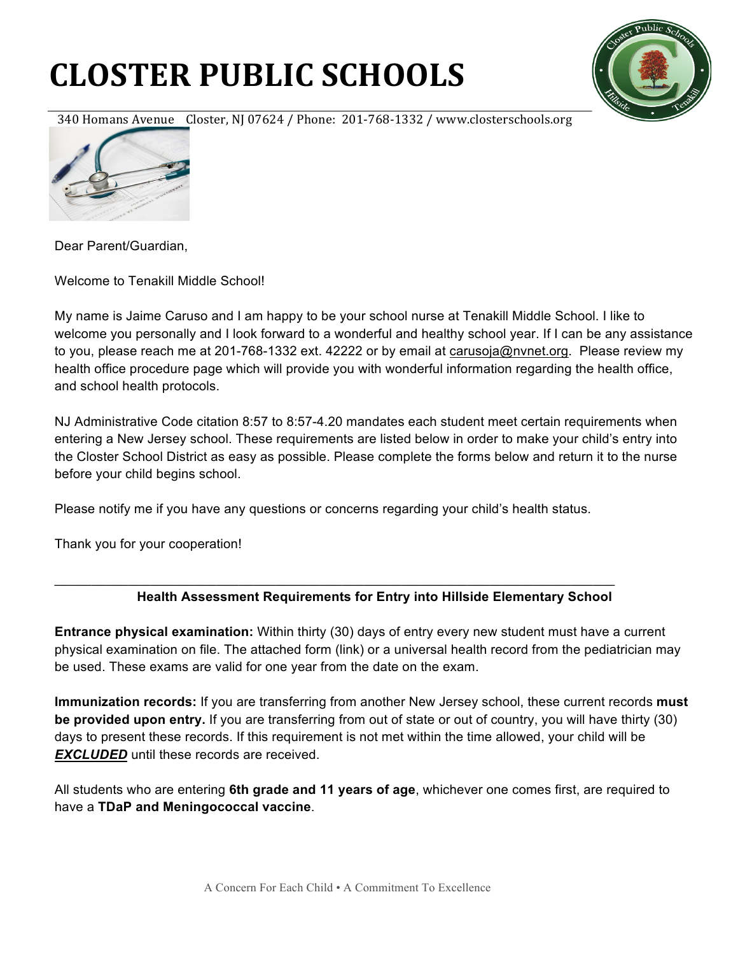## **CLOSTER PUBLIC SCHOOLS**



340 Homans Avenue Closter, NJ 07624 / Phone: 201-768-1332 / www.closterschools.org



Dear Parent/Guardian,

Welcome to Tenakill Middle School!

My name is Jaime Caruso and I am happy to be your school nurse at Tenakill Middle School. I like to welcome you personally and I look forward to a wonderful and healthy school year. If I can be any assistance to you, please reach me at 201-768-1332 ext. 42222 or by email at carusoja@nvnet.org. Please review my health office procedure page which will provide you with wonderful information regarding the health office, and school health protocols.

NJ Administrative Code citation 8:57 to 8:57-4.20 mandates each student meet certain requirements when entering a New Jersey school. These requirements are listed below in order to make your child's entry into the Closter School District as easy as possible. Please complete the forms below and return it to the nurse before your child begins school.

Please notify me if you have any questions or concerns regarding your child's health status.

\_\_\_\_\_\_\_\_\_\_\_\_\_\_\_\_\_\_\_\_\_\_\_\_\_\_\_\_\_\_\_\_\_\_\_\_\_\_\_\_\_\_\_\_\_\_\_\_\_\_\_\_\_\_\_\_\_\_\_\_\_\_\_\_\_\_\_\_\_\_\_\_\_\_\_\_

Thank you for your cooperation!

## **Health Assessment Requirements for Entry into Hillside Elementary School**

**Entrance physical examination:** Within thirty (30) days of entry every new student must have a current physical examination on file. The attached form (link) or a universal health record from the pediatrician may be used. These exams are valid for one year from the date on the exam.

**Immunization records:** If you are transferring from another New Jersey school, these current records **must be provided upon entry.** If you are transferring from out of state or out of country, you will have thirty (30) days to present these records. If this requirement is not met within the time allowed, your child will be **EXCLUDED** until these records are received.

All students who are entering **6th grade and 11 years of age**, whichever one comes first, are required to have a **TDaP and Meningococcal vaccine**.